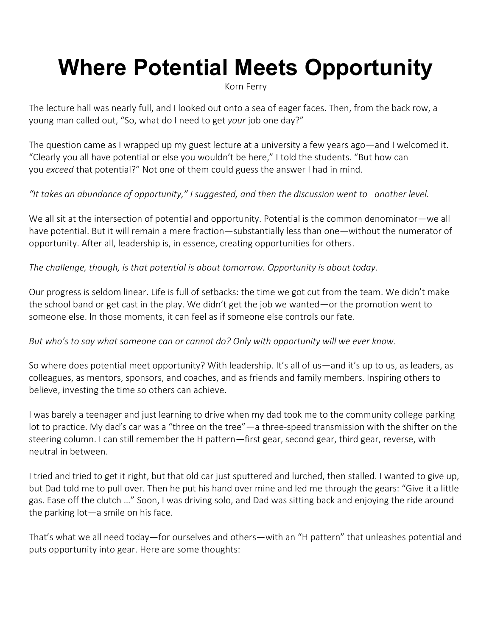# **Where Potential Meets Opportunity**

Korn Ferry

The lecture hall was nearly full, and I looked out onto a sea of eager faces. Then, from the back row, a young man called out, "So, what do I need to get *your* job one day?"

The question came as I wrapped up my guest lecture at a university a few years ago—and I welcomed it. "Clearly you all have potential or else you wouldn't be here," I told the students. "But how can you *exceed* that potential?" Not one of them could guess the answer I had in mind.

#### *"It takes an abundance of opportunity," I suggested, and then the discussion went to another level.*

We all sit at the intersection of potential and opportunity. Potential is the common denominator—we all have potential. But it will remain a mere fraction—substantially less than one—without the numerator of opportunity. After all, leadership is, in essence, creating opportunities for others.

#### *The challenge, though, is that potential is about tomorrow. Opportunity is about today.*

Our progress is seldom linear. Life is full of setbacks: the time we got cut from the team. We didn't make the school band or get cast in the play. We didn't get the job we wanted—or the promotion went to someone else. In those moments, it can feel as if someone else controls our fate.

#### *But who's to say what someone can or cannot do? Only with opportunity will we ever know.*

So where does potential meet opportunity? With leadership. It's all of us—and it's up to us, as leaders, as colleagues, as mentors, sponsors, and coaches, and as friends and family members. Inspiring others to believe, investing the time so others can achieve.

I was barely a teenager and just learning to drive when my dad took me to the community college parking lot to practice. My dad's car was a "three on the tree"—a three-speed transmission with the shifter on the steering column. I can still remember the H pattern—first gear, second gear, third gear, reverse, with neutral in between.

I tried and tried to get it right, but that old car just sputtered and lurched, then stalled. I wanted to give up, but Dad told me to pull over. Then he put his hand over mine and led me through the gears: "Give it a little gas. Ease off the clutch …" Soon, I was driving solo, and Dad was sitting back and enjoying the ride around the parking lot—a smile on his face.

That's what we all need today—for ourselves and others—with an "H pattern" that unleashes potential and puts opportunity into gear. Here are some thoughts: